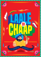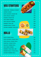## **Veg Starters**

**TANDOORI MASALA CHAAP LEMON CHAAP SOYA ACHARI CHAAP [R] SOYA MALAI CHAAP PUDINA CHAAP [R] VEG SEEKH KEBAB VEG GALOUTI KEBAB PANEER TIKKA [R] PANEER MALAI TIKKA ACHARI PANEER TIKKA [R]**









 $\sim$  //  $\sim$  //  $\sim$  //  $\sim$ 



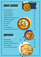# **main course**

**ALOO MATAR [R] MATAR PANEER SHAHI PANEER [R] KADHAI PANEER PANEER BUTTER MASALA [R] PANEER LABABDAR DAL MAKHANI DAL TADKA MIX VEG RAJMA MASALA SOYA BUTTER MASALA [R]**



**VEG BIRYANI PANEER BIRYANI PANEER TIKKA BIRYANI [R] SOYA BIRYANI SOYA TIKKA BIRYANI [R]**



**259**

**249**

**269**



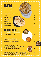

**Thali for all**

**GARLIC NAAN**

**PLAIN ROTI**

**BUTTER ROTI**

**RUMALI ROTI** 

**DAL TADKA ECO THALI** (dal tadka + rumali roti/ plain roti+ salad)

### **DAL MAKHANI ECO THALI**

(dal makhani + rumali roti/ plain roti+ salad)

### **SHAHI PANEER DELUXE THALI**

(shahi paneer + mix veg /choley+ 2 lachha parantha+ salad + raita)

### **SOYA GRAVY DELUXE THALI**

(soya butter masala/soya rogan josh + mix veg/choley + 2 lachha parantha+ salad + raita)

## **DAL TADKA SUPER DELUXE THALI**

(dal tadka + mix veg + 2 lachha parantha/2 butter naan/ 1 garlic naan+ salad + raita+ rice+ gulab jamun)

## **SOYA GRAVY SUPER SUPER DELUXE THALI**

(soya butter masala/soya rogan josh + mix veg + 2 lachha parantha/ 2 butter naan/1 garlic naan+ salad + raita+ rice+ gulab jamun)

 $\nu$  and  $\nu$  and  $\nu$  and  $\nu$  and  $\nu$  and  $\nu$  and  $\nu$  and  $\nu$  and  $\nu$  and  $\nu$ 





**199**

**199**

**15**

**20**

**25**

**30**

**35**

**40**

**10**

**15**

**10**